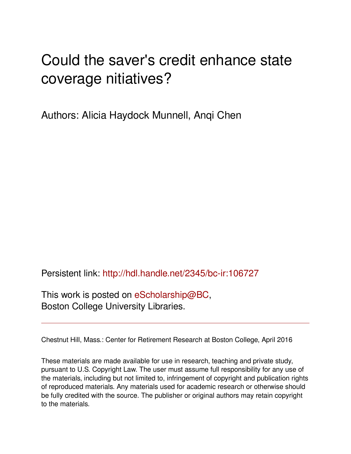# Could the saver's credit enhance state coverage nitiatives?

Authors: Alicia Haydock Munnell, Anqi Chen

Persistent link: <http://hdl.handle.net/2345/bc-ir:106727>

This work is posted on [eScholarship@BC](http://escholarship.bc.edu), Boston College University Libraries.

Chestnut Hill, Mass.: Center for Retirement Research at Boston College, April 2016

These materials are made available for use in research, teaching and private study, pursuant to U.S. Copyright Law. The user must assume full responsibility for any use of the materials, including but not limited to, infringement of copyright and publication rights of reproduced materials. Any materials used for academic research or otherwise should be fully credited with the source. The publisher or original authors may retain copyright to the materials.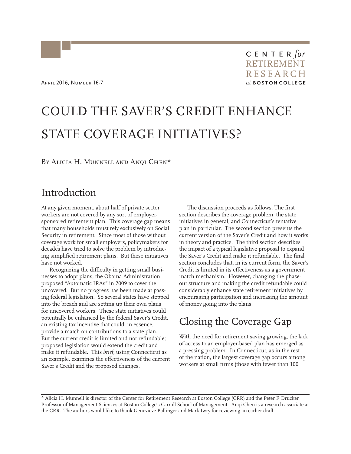# COULD THE SAVER'S CREDIT ENHANCE STATE COVERAGE INITIATIVES?

#### BY ALICIA H. MUNNELL AND ANQI CHEN\*

#### Introduction

At any given moment, about half of private sector workers are not covered by any sort of employersponsored retirement plan. This coverage gap means that many households must rely exclusively on Social Security in retirement. Since most of those without coverage work for small employers, policymakers for decades have tried to solve the problem by introducing simplified retirement plans. But these initiatives have not worked.

Recognizing the difficulty in getting small businesses to adopt plans, the Obama Administration proposed "Automatic IRAs" in 2009 to cover the uncovered. But no progress has been made at passing federal legislation. So several states have stepped into the breach and are setting up their own plans for uncovered workers. These state initiatives could potentially be enhanced by the federal Saver's Credit, an existing tax incentive that could, in essence, provide a match on contributions to a state plan. But the current credit is limited and not refundable; proposed legislation would extend the credit and make it refundable. This *brief,* using Connecticut as an example, examines the effectiveness of the current Saver's Credit and the proposed changes.

The discussion proceeds as follows. The first section describes the coverage problem, the state initiatives in general, and Connecticut's tentative plan in particular. The second section presents the current version of the Saver's Credit and how it works in theory and practice. The third section describes the impact of a typical legislative proposal to expand the Saver's Credit and make it refundable. The final section concludes that, in its current form, the Saver's Credit is limited in its effectiveness as a government match mechanism. However, changing the phaseout structure and making the credit refundable could considerably enhance state retirement initiatives by encouraging participation and increasing the amount of money going into the plans.

# Closing the Coverage Gap

With the need for retirement saving growing, the lack of access to an employer-based plan has emerged as a pressing problem. In Connecticut, as in the rest of the nation, the largest coverage gap occurs among workers at small firms (those with fewer than 100

\* Alicia H. Munnell is director of the Center for Retirement Research at Boston College (CRR) and the Peter F. Drucker Professor of Management Sciences at Boston College's Carroll School of Management. Anqi Chen is a research associate at the CRR. The authors would like to thank Genevieve Ballinger and Mark Iwry for reviewing an earlier draft.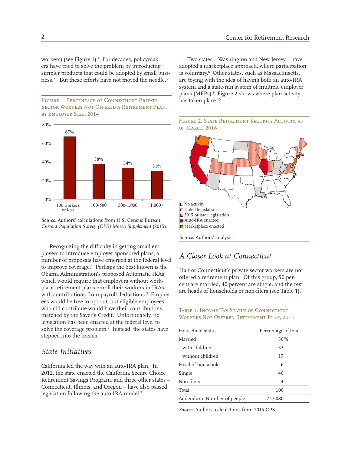workers) (see Figure 1).<sup>1</sup> For decades, policymakers have tried to solve the problem by introducing simpler products that could be adopted by small business.<sup>2</sup> But these efforts have not moved the needle.<sup>3</sup>

#### Figure 1. Percentage of Connecticut Private Sector Workers Not Offered a Retirement Plan, by Employer Size, 2014



*Source:* Authors' calculations from U.S. Census Bureau, *Current Population Survey (CPS) March Supplement* (2015).

Recognizing the difficulty in getting small employers to introduce employer-sponsored plans, a number of proposals have emerged at the federal level to improve coverage.4 Perhaps the best known is the Obama Administration's proposed Automatic IRAs, which would require that employers without workplace retirement plans enroll their workers in IRAs, with contributions from payroll deductions.5 Employees would be free to opt out, but eligible employees who did contribute would have their contributions matched by the Saver's Credit. Unfortunately, no legislation has been enacted at the federal level to solve the coverage problem.<sup>6</sup> Instead, the states have stepped into the breach.

#### *State Initiatives*

California led the way with an auto-IRA plan. In 2012, the state enacted the California Secure Choice Retirement Savings Program, and three other states – Connecticut, Illinois, and Oregon – have also passed legislation following the auto-IRA model.<sup>7</sup>

Two states – Washington and New Jersey – have adopted a marketplace approach, where participation is voluntary.8 Other states, such as Massachusetts, are toying with the idea of having both an auto-IRA system and a state-run system of multiple employer plans (MEPs).<sup>9</sup> Figure 2 shows where plan activity has taken place.<sup>10</sup>





#### *A Closer Look at Connecticut*

Half of Connecticut's private sector workers are not offered a retirement plan. Of this group, 50 percent are married, 40 percent are single, and the rest are heads of households or non-filers (see Table 1).

TABLE 1. INCOME TAX STATUS OF CONNECTICUT Workers Not Offered Retirement Plan, 2014

| Household status           | Percentage of total |  |  |
|----------------------------|---------------------|--|--|
| Married                    | 50%                 |  |  |
| with children              | 32                  |  |  |
| without children           | 17                  |  |  |
| Head of household          | 6                   |  |  |
| Single                     | 40                  |  |  |
| Non-filers                 | $\overline{4}$      |  |  |
| Total                      | 100                 |  |  |
| Addendum: Number of people | 757.080             |  |  |

*Source*: Authors' calculations from 2015 CPS.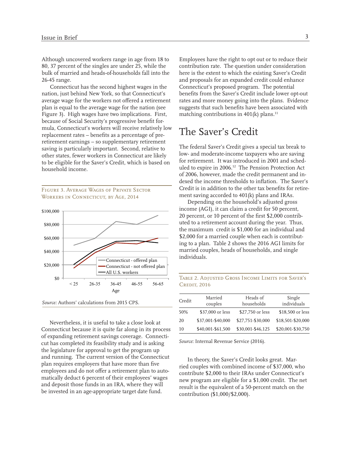Although uncovered workers range in age from 18 to 80, 37 percent of the singles are under 25, while the bulk of married and heads-of-households fall into the 26-45 range.

Connecticut has the second highest wages in the nation, just behind New York, so that Connecticut's average wage for the workers not offered a retirement plan is equal to the average wage for the nation (see Figure 3). High wages have two implications. First, because of Social Security's progressive benefit formula, Connecticut's workers will receive relatively low replacement rates – benefits as a percentage of preretirement earnings – so supplementary retirement saving is particularly important. Second, relative to other states, fewer workers in Connecticut are likely to be eligible for the Saver's Credit, which is based on household income.

Figure 3. Average Wages of Private Sector WORKERS IN CONNECTICUT, BY AGE, 2014



*Source:* Authors' calculations from 2015 CPS.

Nevertheless, it is useful to take a close look at Connecticut because it is quite far along in its process of expanding retirement savings coverage. Connecticut has completed its feasibility study and is asking the legislature for approval to get the program up and running. The current version of the Connecticut plan requires employers that have more than five employees and do not offer a retirement plan to automatically deduct 6 percent of their employees' wages and deposit those funds in an IRA, where they will be invested in an age-appropriate target date fund.

Employees have the right to opt out or to reduce their contribution rate. The question under consideration here is the extent to which the existing Saver's Credit and proposals for an expanded credit could enhance Connecticut's proposed program. The potential benefits from the Saver's Credit include lower opt-out rates and more money going into the plans. Evidence suggests that such benefits have been associated with matching contributions in  $401(k)$  plans.<sup>11</sup>

### The Saver's Credit

The federal Saver's Credit gives a special tax break to low- and moderate-income taxpayers who are saving for retirement. It was introduced in 2001 and scheduled to expire in 2006.12 The Pension Protection Act of 2006, however, made the credit permanent and indexed the income thresholds to inflation. The Saver's Credit is in addition to the other tax benefits for retirement saving accorded to 401(k) plans and IRAs.

Depending on the household's adjusted gross income (AGI), it can claim a credit for 50 percent, 20 percent, or 10 percent of the first \$2,000 contributed to a retirement account during the year. Thus, the maximum credit is \$1,000 for an individual and \$2,000 for a married couple when each is contributing to a plan. Table 2 shows the 2016 AGI limits for married couples, heads of households, and single individuals.

Table 2. Adjusted Gross Income Limits for Saver's **CREDIT, 2016** 

| Credit | Married<br>couples | Heads of<br>households | Single<br>individuals |
|--------|--------------------|------------------------|-----------------------|
| 50%    | \$37,000 or less   | \$27,750 or less       | \$18,500 or less      |
| 20     | \$37,001-\$40,000  | \$27,751-\$30,000      | \$18,501-\$20,000     |
| 10     | \$40,001-\$61,500  | \$30,001-\$46,125      | \$20,001-\$30,750     |

*Source*: Internal Revenue Service (2016).

In theory, the Saver's Credit looks great. Married couples with combined income of \$37,000, who contribute \$2,000 to their IRAs under Connecticut's new program are eligible for a \$1,000 credit. The net result is the equivalent of a 50-percent match on the contribution (\$1,000/\$2,000).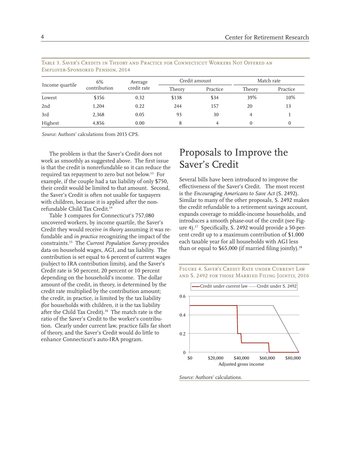| Income quartile | 6%<br>contribution | Average<br>credit rate | Credit amount |          | Match rate |          |
|-----------------|--------------------|------------------------|---------------|----------|------------|----------|
|                 |                    |                        | Theory        | Practice | Theory     | Practice |
| Lowest          | \$356              | 0.32                   | \$138         | \$34     | 39%        | 10%      |
| 2nd             | 1,204              | 0.22                   | 244           | 157      | 20         | 13       |
| 3rd             | 2,368              | 0.05                   | 93            | 30       | 4          |          |
| Highest         | 4,856              | 0.00                   | 8             | 4        |            | 0        |

Table 3. Saver's Credits in Theory and Practice for Connecticut Workers Not Offered an Employer-Sponsored Pension, 2014

*Source*: Authors' calculations from 2015 CPS.

The problem is that the Saver's Credit does not work as smoothly as suggested above. The first issue is that the credit is nonrefundable so it can reduce the required tax repayment to zero but not below.13 For example, if the couple had a tax liability of only \$750, their credit would be limited to that amount. Second, the Saver's Credit is often not usable for taxpayers with children, because it is applied after the nonrefundable Child Tax Credit.14

Table 3 compares for Connecticut's 757,080 uncovered workers, by income quartile, the Saver's Credit they would receive *in theory* assuming it was refundable and *in practice* recognizing the impact of the constraints.15 The *Current Population Survey* provides data on household wages, AGI, and tax liability. The contribution is set equal to 6 percent of current wages (subject to IRA contribution limits), and the Saver's Credit rate is 50 percent, 20 percent or 10 percent depending on the household's income. The dollar amount of the credit, in theory, is determined by the credit rate multiplied by the contribution amount; the credit, in practice, is limited by the tax liability (for households with children, it is the tax liability after the Child Tax Credit).16 The match rate is the ratio of the Saver's Credit to the worker's contribution. Clearly under current law, practice falls far short of theory, and the Saver's Credit would do little to enhance Connecticut's auto-IRA program.

## Proposals to Improve the Saver's Credit

Several bills have been introduced to improve the effectiveness of the Saver's Credit. The most recent is the *Encouraging Americans to Save Act* (S. 2492). Similar to many of the other proposals, S. 2492 makes the credit refundable to a retirement savings account, expands coverage to middle-income households, and introduces a smooth phase-out of the credit (see Figure 4).17 Specifically, S. 2492 would provide a 50-percent credit up to a maximum contribution of \$1,000 each taxable year for all households with AGI less than or equal to  $$65,000$  (if married filing jointly).<sup>18</sup>





*Source:* Authors' calculations.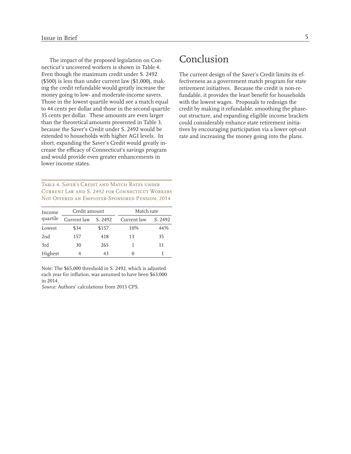The impact of the proposed legislation on Connecticut's uncovered workers is shown in Table 4. Even though the maximum credit under S. 2492 (\$500) is less than under current law (\$1,000), making the credit refundable would greatly increase the money going to low- and moderate-income savers. Those in the lowest quartile would see a match equal to 44 cents per dollar and those in the second quartile 35 cents per dollar. These amounts are even larger than the theoretical amounts presented in Table 3, because the Saver's Credit under S. 2492 would be extended to households with higher AGI levels. In short, expanding the Saver's Credit would greatly increase the efficacy of Connecticut's savings program and would provide even greater enhancements in lower income states.

Table 4. Saver's Credit and Match Rates under Current Law and S. 2492 for Connecticut Workers Not Offered an Employer-Sponsored Pension, 2014

| Income          | Credit amount |         | Match rate  |         |  |
|-----------------|---------------|---------|-------------|---------|--|
| quartile        | Current law   | S. 2492 | Current law | S. 2492 |  |
| Lowest          | \$34          | \$157   | 10%         | 44%     |  |
| 2 <sub>nd</sub> | 157           | 418     | 13          | 35      |  |
| 3rd             | 30            | 265     |             | 11      |  |
| Highest         | 4             | 43      |             |         |  |

Note: The \$65,000 threshold in S. 2492, which is adjusted each year for inflation, was assumed to have been \$63,000 in 2014.

*Source:* Authors' calculations from 2015 CPS.

# Conclusion

The current design of the Saver's Credit limits its effectiveness as a government match program for state retirement initiatives. Because the credit is non-refundable, it provides the least benefit for households with the lowest wages. Proposals to redesign the credit by making it refundable, smoothing the phaseout structure, and expanding eligible income brackets could considerably enhance state retirement initiatives by encouraging participation via a lower opt-out rate and increasing the money going into the plans.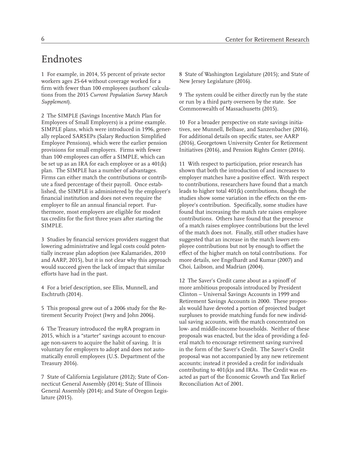### Endnotes

1 For example, in 2014, 55 percent of private sector workers ages 25-64 without coverage worked for a firm with fewer than 100 employees (authors' calculations from the 2015 *Current Population Survey March Supplement*).

2 The SIMPLE (Savings Incentive Match Plan for Employees of Small Employers) is a prime example. SIMPLE plans, which were introduced in 1996, generally replaced SARSEPs (Salary Reduction Simplified Employee Pensions), which were the earlier pension provisions for small employers. Firms with fewer than 100 employees can offer a SIMPLE, which can be set up as an IRA for each employee or as a 401(k) plan. The SIMPLE has a number of advantages. Firms can either match the contributions or contribute a fixed percentage of their payroll. Once established, the SIMPLE is administered by the employer's financial institution and does not even require the employer to file an annual financial report. Furthermore, most employers are eligible for modest tax credits for the first three years after starting the SIMPLE.

3 Studies by financial services providers suggest that lowering administrative and legal costs could potentially increase plan adoption (see Kalamarides, 2010 and AARP, 2015), but it is not clear why this approach would succeed given the lack of impact that similar efforts have had in the past.

4 For a brief description, see Ellis, Munnell, and Eschtruth (2014).

5 This proposal grew out of a 2006 study for the Retirement Security Project (Iwry and John 2006).

6 The Treasury introduced the *my*RA program in 2015, which is a "starter" savings account to encourage non-savers to acquire the habit of saving. It is voluntary for employers to adopt and does not automatically enroll employees (U.S. Department of the Treasury 2016).

7 State of California Legislature (2012); State of Connecticut General Assembly (2014); State of Illinois General Assembly (2014); and State of Oregon Legislature (2015).

8 State of Washington Legislature (2015); and State of New Jersey Legislature (2016).

9 The system could be either directly run by the state or run by a third party overseen by the state. See Commonwealth of Massachusetts (2015).

10 For a broader perspective on state savings initiatives, see Munnell, Belbase, and Sanzenbacher (2016). For additional details on specific states, see AARP (2016), Georgetown University Center for Retirement Initiatives (2016), and Pension Rights Center (2016).

11 With respect to participation, prior research has shown that both the introduction of and increases to employer matches have a positive effect. With respect to contributions, researchers have found that a match leads to higher total 401(k) contributions, though the studies show some variation in the effects on the employee's contribution. Specifically, some studies have found that increasing the match rate raises employee contributions. Others have found that the presence of a match raises employee contributions but the level of the match does not. Finally, still other studies have suggested that an increase in the match *lowers* employee contributions but not by enough to offset the effect of the higher match on total contributions. For more details, see Engelhardt and Kumar (2007) and Choi, Laibson, and Madrian (2004).

12 The Saver's Credit came about as a spinoff of more ambitious proposals introduced by President Clinton – Universal Savings Accounts in 1999 and Retirement Savings Accounts in 2000. These proposals would have devoted a portion of projected budget surpluses to provide matching funds for new individual saving accounts, with the match concentrated on low- and middle-income households. Neither of these proposals was enacted, but the idea of providing a federal match to encourage retirement saving survived in the form of the Saver's Credit. The Saver's Credit proposal was not accompanied by any new retirement accounts; instead it provided a credit for individuals contributing to 401(k)s and IRAs. The Credit was enacted as part of the Economic Growth and Tax Relief Reconciliation Act of 2001.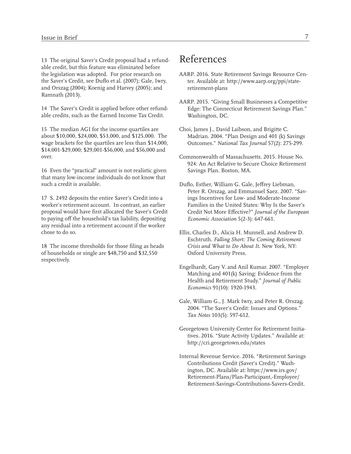13 The original Saver's Credit proposal had a refundable credit, but this feature was eliminated before the legislation was adopted. For prior research on the Saver's Credit, see Duflo et al. (2007); Gale, Iwry, and Orszag (2004); Koenig and Harvey (2005); and Ramnath (2013).

14 The Saver's Credit is applied before other refundable credits, such as the Earned Income Tax Credit.

15 The median AGI for the income quartiles are about \$10,000, \$24,000, \$53,000, and \$125,000. The wage brackets for the quartiles are less than \$14,000, \$14,001-\$29,000; \$29,001-\$56,000, and \$56,000 and over.

16 Even the "practical" amount is not realistic given that many low-income individuals do not know that such a credit is available.

17 S. 2492 deposits the entire Saver's Credit into a worker's retirement account. In contrast, an earlier proposal would have first allocated the Saver's Credit to paying off the household's tax liability, depositing any residual into a retirement account if the worker chose to do so.

18 The income thresholds for those filing as heads of households or single are \$48,750 and \$32,550 respectively.

## References

- AARP. 2016. State Retirement Savings Resource Center. Available at: http://www.aarp.org/ppi/stateretirement-plans
- AARP. 2015. "Giving Small Businesses a Competitive Edge: The Connecticut Retirement Savings Plan." Washington, DC.
- Choi, James J., David Laibson, and Brigitte C. Madrian. 2004. "Plan Design and 401 (k) Savings Outcomes." *National Tax Journal* 57(2): 275-299.
- Commonwealth of Massachusetts. 2015. House No. 924: An Act Relative to Secure Choice Retirement Savings Plan. Boston, MA.
- Duflo, Esther, William G. Gale, Jeffrey Liebman, Peter R. Orszag, and Emmanuel Saez. 2007. "Savings Incentives for Low- and Moderate-Income Families in the United States: Why Is the Saver's Credit Not More Effective?" *Journal of the European Economic Association* 5(2-3): 647-661.
- Ellis, Charles D., Alicia H. Munnell, and Andrew D. Eschtruth. *Falling Short: The Coming Retirement Crisis and What to Do About It*. New York, NY: Oxford University Press.
- Engelhardt, Gary V. and Anil Kumar. 2007. "Employer Matching and 401(k) Saving: Evidence from the Health and Retirement Study." *Journal of Public Economics* 91(10): 1920-1943.
- Gale, William G., J. Mark Iwry, and Peter R. Orszag. 2004. "The Saver's Credit: Issues and Options." *Tax Notes* 103(5): 597-612.
- Georgetown University Center for Retirement Initiatives. 2016. "State Activity Updates." Available at: http://cri.georgetown.edu/states
- Internal Revenue Service. 2016. "Retirement Savings Contributions Credit (Saver's Credit)." Washington, DC. Available at: https://www.irs.gov/ Retirement-Plans/Plan-Participant,-Employee/ Retirement-Savings-Contributions-Savers-Credit.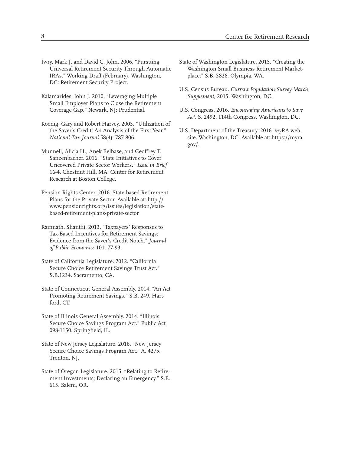- Iwry, Mark J. and David C. John. 2006. "Pursuing Universal Retirement Security Through Automatic IRAs." Working Draft (February). Washington, DC: Retirement Security Project.
- Kalamarides, John J. 2010. "Leveraging Multiple Small Employer Plans to Close the Retirement Coverage Gap." Newark, NJ: Prudential.
- Koenig, Gary and Robert Harvey. 2005. "Utilization of the Saver's Credit: An Analysis of the First Year." *National Tax Journal* 58(4): 787-806.
- Munnell, Alicia H., Anek Belbase, and Geoffrey T. Sanzenbacher. 2016. "State Initiatives to Cover Uncovered Private Sector Workers." *Issue in Brief* 16-4. Chestnut Hill, MA: Center for Retirement Research at Boston College.
- Pension Rights Center. 2016. State-based Retirement Plans for the Private Sector. Available at: http:// www.pensionrights.org/issues/legislation/statebased-retirement-plans-private-sector
- Ramnath, Shanthi. 2013. "Taxpayers' Responses to Tax-Based Incentives for Retirement Savings: Evidence from the Saver's Credit Notch." *Journal of Public Economics* 101: 77-93.
- State of California Legislature. 2012. "California Secure Choice Retirement Savings Trust Act." S.B.1234. Sacramento, CA.
- State of Connecticut General Assembly. 2014. "An Act Promoting Retirement Savings." S.B. 249. Hartford, CT.
- State of Illinois General Assembly. 2014. "Illinois Secure Choice Savings Program Act." Public Act 098-1150. Springfield, IL.
- State of New Jersey Legislature. 2016. "New Jersey Secure Choice Savings Program Act." A. 4275. Trenton, NJ.
- State of Oregon Legislature. 2015. "Relating to Retirement Investments; Declaring an Emergency." S.B. 615. Salem, OR.
- State of Washington Legislature. 2015. "Creating the Washington Small Business Retirement Marketplace." S.B. 5826. Olympia, WA.
- U.S. Census Bureau. *Current Population Survey March Supplement,* 2015. Washington, DC.
- U.S. Congress. 2016. *Encouraging Americans to Save Act.* S. 2492, 114th Congress. Washington, DC.
- U.S. Department of the Treasury. 2016. *my*RA website. Washington, DC. Available at: https://myra. gov/.